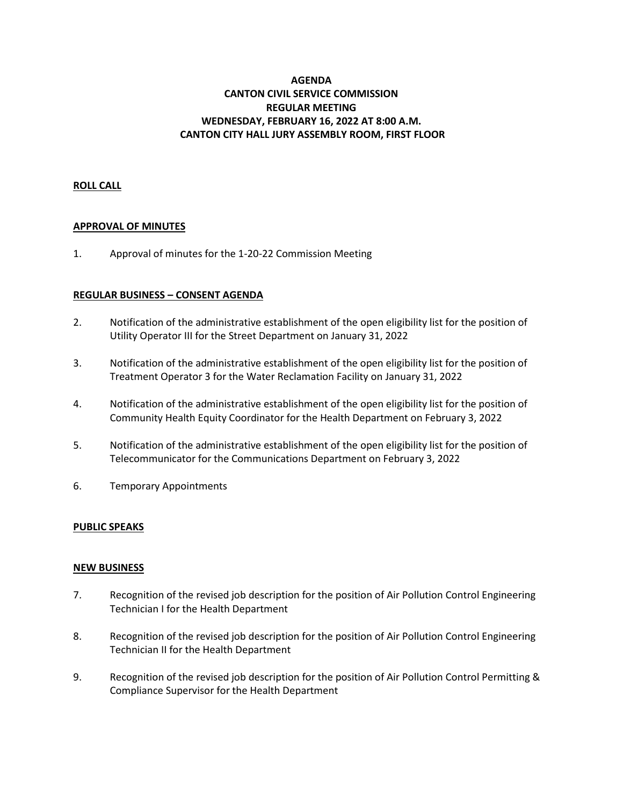# **AGENDA CANTON CIVIL SERVICE COMMISSION REGULAR MEETING WEDNESDAY, FEBRUARY 16, 2022 AT 8:00 A.M. CANTON CITY HALL JURY ASSEMBLY ROOM, FIRST FLOOR**

## **ROLL CALL**

## **APPROVAL OF MINUTES**

1. Approval of minutes for the 1-20-22 Commission Meeting

## **REGULAR BUSINESS – CONSENT AGENDA**

- 2. Notification of the administrative establishment of the open eligibility list for the position of Utility Operator III for the Street Department on January 31, 2022
- 3. Notification of the administrative establishment of the open eligibility list for the position of Treatment Operator 3 for the Water Reclamation Facility on January 31, 2022
- 4. Notification of the administrative establishment of the open eligibility list for the position of Community Health Equity Coordinator for the Health Department on February 3, 2022
- 5. Notification of the administrative establishment of the open eligibility list for the position of Telecommunicator for the Communications Department on February 3, 2022
- 6. Temporary Appointments

## **PUBLIC SPEAKS**

## **NEW BUSINESS**

- 7. Recognition of the revised job description for the position of Air Pollution Control Engineering Technician I for the Health Department
- 8. Recognition of the revised job description for the position of Air Pollution Control Engineering Technician II for the Health Department
- 9. Recognition of the revised job description for the position of Air Pollution Control Permitting & Compliance Supervisor for the Health Department